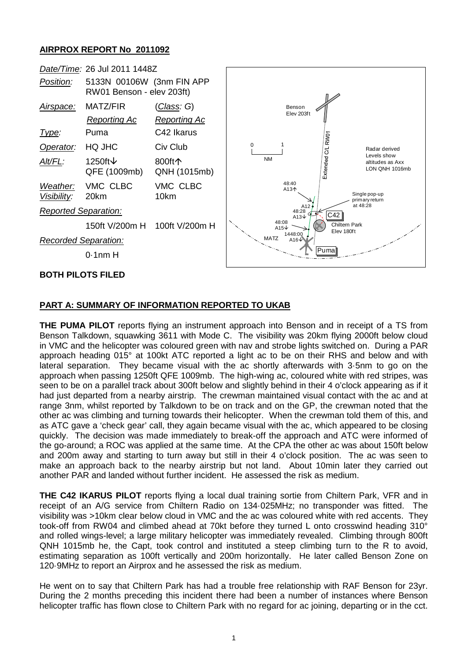## **AIRPROX REPORT No 2011092**



## **PART A: SUMMARY OF INFORMATION REPORTED TO UKAB**

**THE PUMA PILOT** reports flying an instrument approach into Benson and in receipt of a TS from Benson Talkdown, squawking 3611 with Mode C. The visibility was 20km flying 2000ft below cloud in VMC and the helicopter was coloured green with nav and strobe lights switched on. During a PAR approach heading 015° at 100kt ATC reported a light ac to be on their RHS and below and with lateral separation. They became visual with the ac shortly afterwards with 3·5nm to go on the approach when passing 1250ft QFE 1009mb. The high-wing ac, coloured white with red stripes, was seen to be on a parallel track about 300ft below and slightly behind in their 4 o'clock appearing as if it had just departed from a nearby airstrip. The crewman maintained visual contact with the ac and at range 3nm, whilst reported by Talkdown to be on track and on the GP, the crewman noted that the other ac was climbing and turning towards their helicopter. When the crewman told them of this, and as ATC gave a 'check gear' call, they again became visual with the ac, which appeared to be closing quickly. The decision was made immediately to break-off the approach and ATC were informed of the go-around; a ROC was applied at the same time. At the CPA the other ac was about 150ft below and 200m away and starting to turn away but still in their 4 o'clock position. The ac was seen to make an approach back to the nearby airstrip but not land. About 10min later they carried out another PAR and landed without further incident. He assessed the risk as medium.

**THE C42 IKARUS PILOT** reports flying a local dual training sortie from Chiltern Park, VFR and in receipt of an A/G service from Chiltern Radio on 134·025MHz; no transponder was fitted. The visibility was >10km clear below cloud in VMC and the ac was coloured white with red accents. They took-off from RW04 and climbed ahead at 70kt before they turned L onto crosswind heading 310° and rolled wings-level; a large military helicopter was immediately revealed. Climbing through 800ft QNH 1015mb he, the Capt, took control and instituted a steep climbing turn to the R to avoid, estimating separation as 100ft vertically and 200m horizontally. He later called Benson Zone on 120·9MHz to report an Airprox and he assessed the risk as medium.

He went on to say that Chiltern Park has had a trouble free relationship with RAF Benson for 23yr. During the 2 months preceding this incident there had been a number of instances where Benson helicopter traffic has flown close to Chiltern Park with no regard for ac joining, departing or in the cct.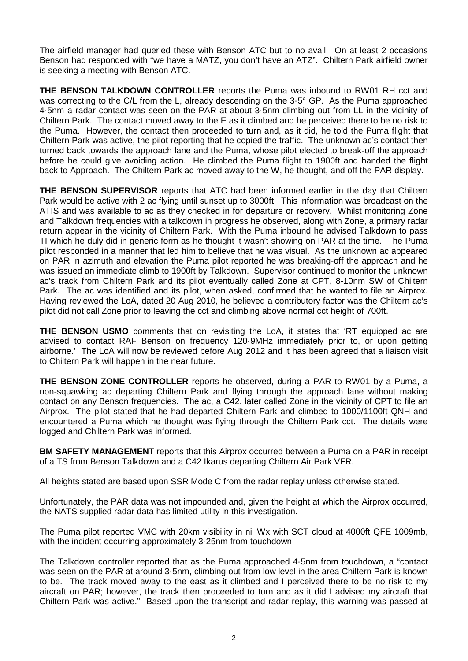The airfield manager had queried these with Benson ATC but to no avail. On at least 2 occasions Benson had responded with "we have a MATZ, you don't have an ATZ". Chiltern Park airfield owner is seeking a meeting with Benson ATC.

**THE BENSON TALKDOWN CONTROLLER** reports the Puma was inbound to RW01 RH cct and was correcting to the C/L from the L, already descending on the 3.5° GP. As the Puma approached 4·5nm a radar contact was seen on the PAR at about 3·5nm climbing out from LL in the vicinity of Chiltern Park. The contact moved away to the E as it climbed and he perceived there to be no risk to the Puma. However, the contact then proceeded to turn and, as it did, he told the Puma flight that Chiltern Park was active, the pilot reporting that he copied the traffic. The unknown ac's contact then turned back towards the approach lane and the Puma, whose pilot elected to break-off the approach before he could give avoiding action. He climbed the Puma flight to 1900ft and handed the flight back to Approach. The Chiltern Park ac moved away to the W, he thought, and off the PAR display.

**THE BENSON SUPERVISOR** reports that ATC had been informed earlier in the day that Chiltern Park would be active with 2 ac flying until sunset up to 3000ft. This information was broadcast on the ATIS and was available to ac as they checked in for departure or recovery. Whilst monitoring Zone and Talkdown frequencies with a talkdown in progress he observed, along with Zone, a primary radar return appear in the vicinity of Chiltern Park. With the Puma inbound he advised Talkdown to pass TI which he duly did in generic form as he thought it wasn't showing on PAR at the time. The Puma pilot responded in a manner that led him to believe that he was visual. As the unknown ac appeared on PAR in azimuth and elevation the Puma pilot reported he was breaking-off the approach and he was issued an immediate climb to 1900ft by Talkdown. Supervisor continued to monitor the unknown ac's track from Chiltern Park and its pilot eventually called Zone at CPT, 8-10nm SW of Chiltern Park. The ac was identified and its pilot, when asked, confirmed that he wanted to file an Airprox. Having reviewed the LoA, dated 20 Aug 2010, he believed a contributory factor was the Chiltern ac's pilot did not call Zone prior to leaving the cct and climbing above normal cct height of 700ft.

**THE BENSON USMO** comments that on revisiting the LoA, it states that 'RT equipped ac are advised to contact RAF Benson on frequency 120·9MHz immediately prior to, or upon getting airborne.' The LoA will now be reviewed before Aug 2012 and it has been agreed that a liaison visit to Chiltern Park will happen in the near future.

**THE BENSON ZONE CONTROLLER** reports he observed, during a PAR to RW01 by a Puma, a non-squawking ac departing Chiltern Park and flying through the approach lane without making contact on any Benson frequencies. The ac, a C42, later called Zone in the vicinity of CPT to file an Airprox. The pilot stated that he had departed Chiltern Park and climbed to 1000/1100ft QNH and encountered a Puma which he thought was flying through the Chiltern Park cct. The details were logged and Chiltern Park was informed.

**BM SAFETY MANAGEMENT** reports that this Airprox occurred between a Puma on a PAR in receipt of a TS from Benson Talkdown and a C42 Ikarus departing Chiltern Air Park VFR.

All heights stated are based upon SSR Mode C from the radar replay unless otherwise stated.

Unfortunately, the PAR data was not impounded and, given the height at which the Airprox occurred, the NATS supplied radar data has limited utility in this investigation.

The Puma pilot reported VMC with 20km visibility in nil Wx with SCT cloud at 4000ft QFE 1009mb, with the incident occurring approximately 3·25nm from touchdown.

The Talkdown controller reported that as the Puma approached 4·5nm from touchdown, a "contact was seen on the PAR at around 3·5nm, climbing out from low level in the area Chiltern Park is known to be. The track moved away to the east as it climbed and I perceived there to be no risk to my aircraft on PAR; however, the track then proceeded to turn and as it did I advised my aircraft that Chiltern Park was active." Based upon the transcript and radar replay, this warning was passed at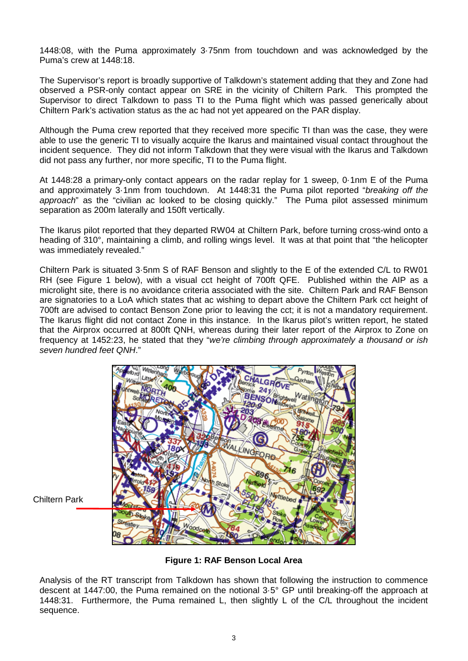1448:08, with the Puma approximately 3·75nm from touchdown and was acknowledged by the Puma's crew at 1448:18.

The Supervisor's report is broadly supportive of Talkdown's statement adding that they and Zone had observed a PSR-only contact appear on SRE in the vicinity of Chiltern Park. This prompted the Supervisor to direct Talkdown to pass TI to the Puma flight which was passed generically about Chiltern Park's activation status as the ac had not yet appeared on the PAR display.

Although the Puma crew reported that they received more specific TI than was the case, they were able to use the generic TI to visually acquire the Ikarus and maintained visual contact throughout the incident sequence. They did not inform Talkdown that they were visual with the Ikarus and Talkdown did not pass any further, nor more specific, TI to the Puma flight.

At 1448:28 a primary-only contact appears on the radar replay for 1 sweep, 0·1nm E of the Puma and approximately 3·1nm from touchdown. At 1448:31 the Puma pilot reported "*breaking off the approach*" as the "civilian ac looked to be closing quickly." The Puma pilot assessed minimum separation as 200m laterally and 150ft vertically.

The Ikarus pilot reported that they departed RW04 at Chiltern Park, before turning cross-wind onto a heading of 310°, maintaining a climb, and rolling wings level. It was at that point that "the helicopter" was immediately revealed."

Chiltern Park is situated 3·5nm S of RAF Benson and slightly to the E of the extended C/L to RW01 RH (see Figure 1 below), with a visual cct height of 700ft QFE. Published within the AIP as a microlight site, there is no avoidance criteria associated with the site. Chiltern Park and RAF Benson are signatories to a LoA which states that ac wishing to depart above the Chiltern Park cct height of 700ft are advised to contact Benson Zone prior to leaving the cct; it is not a mandatory requirement. The Ikarus flight did not contact Zone in this instance. In the Ikarus pilot's written report, he stated that the Airprox occurred at 800ft QNH, whereas during their later report of the Airprox to Zone on frequency at 1452:23, he stated that they "*we're climbing through approximately a thousand or ish seven hundred feet QNH*."



Chiltern Park

**Figure 1: RAF Benson Local Area**

Analysis of the RT transcript from Talkdown has shown that following the instruction to commence descent at 1447:00, the Puma remained on the notional 3·5° GP until breaking-off the approach at 1448:31. Furthermore, the Puma remained L, then slightly L of the C/L throughout the incident sequence.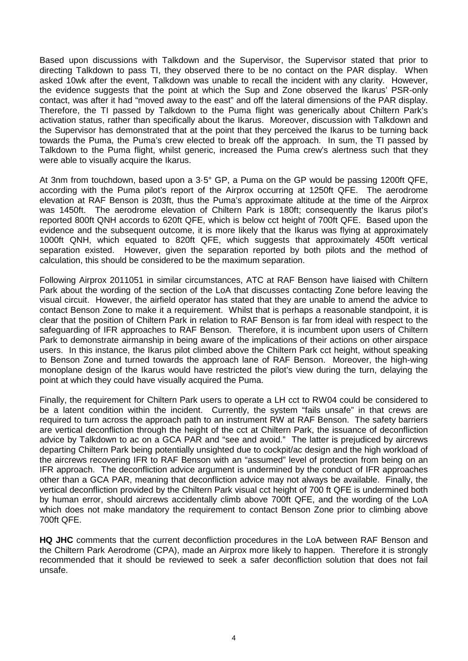Based upon discussions with Talkdown and the Supervisor, the Supervisor stated that prior to directing Talkdown to pass TI, they observed there to be no contact on the PAR display. When asked 10wk after the event, Talkdown was unable to recall the incident with any clarity. However, the evidence suggests that the point at which the Sup and Zone observed the Ikarus' PSR-only contact, was after it had "moved away to the east" and off the lateral dimensions of the PAR display. Therefore, the TI passed by Talkdown to the Puma flight was generically about Chiltern Park's activation status, rather than specifically about the Ikarus. Moreover, discussion with Talkdown and the Supervisor has demonstrated that at the point that they perceived the Ikarus to be turning back towards the Puma, the Puma's crew elected to break off the approach. In sum, the TI passed by Talkdown to the Puma flight, whilst generic, increased the Puma crew's alertness such that they were able to visually acquire the Ikarus.

At 3nm from touchdown, based upon a 3·5° GP, a Puma on the GP would be passing 1200ft QFE, according with the Puma pilot's report of the Airprox occurring at 1250ft QFE. The aerodrome elevation at RAF Benson is 203ft, thus the Puma's approximate altitude at the time of the Airprox was 1450ft. The aerodrome elevation of Chiltern Park is 180ft; consequently the Ikarus pilot's reported 800ft QNH accords to 620ft QFE, which is below cct height of 700ft QFE. Based upon the evidence and the subsequent outcome, it is more likely that the Ikarus was flying at approximately 1000ft QNH, which equated to 820ft QFE, which suggests that approximately 450ft vertical separation existed. However, given the separation reported by both pilots and the method of calculation, this should be considered to be the maximum separation.

Following Airprox 2011051 in similar circumstances, ATC at RAF Benson have liaised with Chiltern Park about the wording of the section of the LoA that discusses contacting Zone before leaving the visual circuit. However, the airfield operator has stated that they are unable to amend the advice to contact Benson Zone to make it a requirement. Whilst that is perhaps a reasonable standpoint, it is clear that the position of Chiltern Park in relation to RAF Benson is far from ideal with respect to the safeguarding of IFR approaches to RAF Benson. Therefore, it is incumbent upon users of Chiltern Park to demonstrate airmanship in being aware of the implications of their actions on other airspace users. In this instance, the Ikarus pilot climbed above the Chiltern Park cct height, without speaking to Benson Zone and turned towards the approach lane of RAF Benson. Moreover, the high-wing monoplane design of the Ikarus would have restricted the pilot's view during the turn, delaying the point at which they could have visually acquired the Puma.

Finally, the requirement for Chiltern Park users to operate a LH cct to RW04 could be considered to be a latent condition within the incident. Currently, the system "fails unsafe" in that crews are required to turn across the approach path to an instrument RW at RAF Benson. The safety barriers are vertical deconfliction through the height of the cct at Chiltern Park, the issuance of deconfliction advice by Talkdown to ac on a GCA PAR and "see and avoid." The latter is prejudiced by aircrews departing Chiltern Park being potentially unsighted due to cockpit/ac design and the high workload of the aircrews recovering IFR to RAF Benson with an "assumed" level of protection from being on an IFR approach. The deconfliction advice argument is undermined by the conduct of IFR approaches other than a GCA PAR, meaning that deconfliction advice may not always be available. Finally, the vertical deconfliction provided by the Chiltern Park visual cct height of 700 ft QFE is undermined both by human error, should aircrews accidentally climb above 700ft QFE, and the wording of the LoA which does not make mandatory the requirement to contact Benson Zone prior to climbing above 700ft QFE.

**HQ JHC** comments that the current deconfliction procedures in the LoA between RAF Benson and the Chiltern Park Aerodrome (CPA), made an Airprox more likely to happen. Therefore it is strongly recommended that it should be reviewed to seek a safer deconfliction solution that does not fail unsafe.